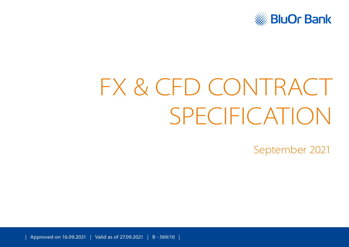

# FX & CFD CONTRACT SPECIFICATION

September 2021

| Approved on 16.09.2021 | Valid as of 27.09.2021 | B - 569/10 |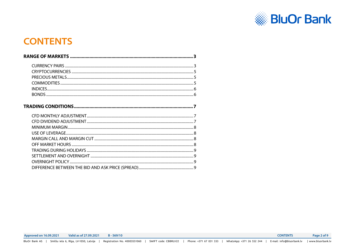

# <span id="page-1-0"></span>**CONTENTS**

**Approved on 16.09.2021** Valid as of 27.09.2021  $B - 569/10$  **CONTENTS** Page 2 of 9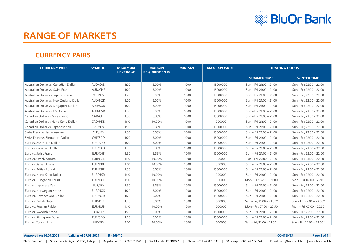

# <span id="page-2-0"></span>**RANGE OF MARKETS**

#### **CURRENCY PAIRS**

| <b>CURRENCY PAIRS</b>                    | <b>SYMBOL</b>  | <b>MAXIMUM</b><br><b>LEVERAGE</b> | <b>MARGIN</b><br><b>REQUIREMENTS</b> | <b>MIN. SIZE</b> | <b>MAX EXPOSURE</b> | <b>TRADING HOURS</b>      |                           |
|------------------------------------------|----------------|-----------------------------------|--------------------------------------|------------------|---------------------|---------------------------|---------------------------|
|                                          |                |                                   |                                      |                  |                     | <b>SUMMER TIME</b>        | <b>WINTER TIME</b>        |
| Australian Dollar vs. Canadian Dollar    | AUD/CAD        | 1:20                              | 5.00%                                | 1000             | 15000000            | Sun - Fri; 21:00 - 21:00  | Sun - Fri; 22:00 - 22:00  |
| Australian Dollar vs. Swiss Franc        | AUD/CHF        | 1:20                              | 5.00%                                | 1000             | 15000000            | Sun - Fri; 21:00 - 21:00  | Sun - Fri; 22:00 - 22:00  |
| Australian Dollar vs. Japanese Yen       | AUD/JPY        | 1:20                              | 5.00%                                | 1000             | 15000000            | Sun - Fri; 21:00 - 21:00  | Sun - Fri; 22:00 - 22:00  |
| Australian Dollar vs. New Zealand Dollar | AUD/NZD        | 1:20                              | 5.00%                                | 1000             | 15000000            | Sun - Fri; 21:00 - 21:00  | Sun - Fri; 22:00 - 22:00  |
| Australian Dollar vs. Singapore Dollar   | AUD/SGD        | 1:20                              | 5.00%                                | 1000             | 15000000            | Sun - Fri: 21:00 - 21:00  | Sun - Fri; 22:00 - 22:00  |
| Australian Dollar vs. US Dollar          | AUD/USD        | 1:20                              | 5.00%                                | 1000             | 15000000            | Sun - Fri; 21:00 - 21:00  | Sun - Fri; 22:00 - 22:00  |
| Canadian Dollar vs. Swiss Franc          | CAD/CHF        | 1:30                              | 3.33%                                | 1000             | 15000000            | Sun - Fri; 21:00 - 21:00  | Sun - Fri; 22:00 - 22:00  |
| Canadian Dollar vs Hong Kong Dollar      | CAD/HKD        | 1:10                              | 10.00%                               | 1000             | 1000000             | Sun - Fri: 21:00 - 21:00  | Sun - Fri; 22:00 - 22:00  |
| Canadian Dollar vs. Japanese Yen         | CAD/JPY        | 1:30                              | 3.33%                                | 1000             | 15000000            | Sun - Fri; 21:00 - 21:00  | Sun - Fri; 22:00 - 22:00  |
| Swiss Franc vs. Japanese Yen             | CHF/JPY        | 1:30                              | 3.33%                                | 1000             | 15000000            | Sun - Fri; 21:00 - 21:00  | Sun - Fri; 22:00 - 22:00  |
| Swiss Franc vs. Singapore Dollar         | CHF/SGD        | 1:20                              | 5.00%                                | 1000             | 15000000            | Sun - Fri; 21:00 - 21:00  | Sun - Fri; 22:00 - 22:00  |
| Euro vs. Australian Dollar               | EUR/AUD        | 1:20                              | 5.00%                                | 1000             | 15000000            | Sun - Fri; 21:00 - 21:00  | Sun - Fri; 22:00 - 22:00  |
| Euro vs. Canadian Dollar                 | EUR/CAD        | 1:30                              | 3.33%                                | 1000             | 15000000            | Sun - Fri; 21:00 - 21:00  | Sun - Fri; 22:00 - 22:00  |
| Euro vs. Swiss Franc                     | EUR/CHF        | 1:30                              | 3.33%                                | 1000             | 15000000            | Sun - Fri; 21:00 - 21:00  | Sun - Fri; 22:00 - 22:00  |
| Euro vs. Czech Koruna                    | EUR/CZK        | 1:10                              | 10.00%                               | 1000             | 1000000             | Sun - Fri; 22:00 - 21:00  | Sun - Fri; 23:00 - 22:00  |
| Euro vs Danish Krone                     | <b>EUR/DKK</b> | 1:10                              | 10.00%                               | 1000             | 1000000             | Sun - Fri; 21:00 - 21:00  | Sun - Fri; 22:00 - 22:00  |
| Euro vs. British Pound                   | EUR/GBP        | 1:30                              | 3.33%                                | 1000             | 15000000            | Sun - Fri; 21:00 - 21:00  | Sun - Fri; 22:00 - 22:00  |
| Euro vs. Hong Kong Dollar                | EUR/HKD        | 1:10                              | 10.00%                               | 1000             | 1000000             | Sun - Fri; 21:00 - 21:00  | Sun - Fri; 22:00 - 22:00  |
| Euro vs. Hungarian Forint                | EUR/HUF        | 1:10                              | 10.00%                               | 1000             | 1000000             | Mon - Fri: 06:00 - 21:00  | Mon - Fri: 07:00 - 22:00  |
| Euro vs. Japanese Yen                    | EUR/JPY        | 1:30                              | 3.33%                                | 1000             | 15000000            | Sun - Fri: 21:00 - 21:00  | Sun - Fri: 22:00 - 22:00  |
| Euro vs. Norwegian Krone                 | <b>EUR/NOK</b> | 1:20                              | 5.00%                                | 1000             | 15000000            | Sun - Fri; 21:00 - 21:00  | Sun - Fri; 22:00 - 22:00  |
| Euro vs. New Zealand Dollar              | EUR/NZD        | 1:20                              | 5.00%                                | 1000             | 15000000            | Sun - Fri; 21:00 - 21:00  | Sun - Fri; 22:00 - 22:00  |
| Euro vs. Polish Zloty                    | EUR/PLN        | 1:20                              | 5.00%                                | 1000             | 1000000             | Sun - Fri; 21:00 - 21:00* | Sun - Fri; 22:00 - 22:00* |
| Euro vs. Russian Ruble                   | EUR/RUB        | 1:10                              | 10.00%                               | 1000             | 1000000             | Mon - Fri; 07:00 - 20:50  | Mon - Fri; 07:00 - 20:50  |
| Euro vs. Swedish Krona                   | <b>EUR/SEK</b> | 1:20                              | 5.00%                                | 1000             | 15000000            | Sun - Fri; 21:00 - 21:00  | Sun - Fri; 22:00 - 22:00  |
| Euro vs. Singapore Dollar                | EUR/SGD        | 1:20                              | 5.00%                                | 1000             | 15000000            | Sun - Fri; 21:00 - 21:00  | Sun - Fri; 22:00 - 22:00  |
| Euro vs. Turkish Lira                    | EUR/TRY        | 1:10                              | 10.00%                               | 1000             | 1000000             | Sun - Fri; 21:00 - 21:00* | Sun - Fri; 22:00 - 22:00* |

**Approved on 16.09.2021 Valid as of 27.09.2021 B - 569/10 [CONTENTS](#page-1-0) Page 3 of 9**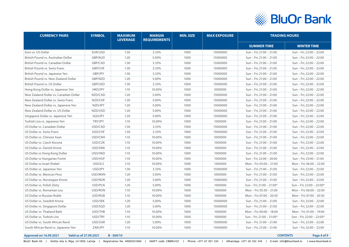

| <b>CURRENCY PAIRS</b>                  | <b>SYMBOL</b>  | <b>MAXIMUM</b><br><b>LEVERAGE</b> | <b>MARGIN</b><br><b>REQUIREMENTS</b> | <b>MIN. SIZE</b> | <b>MAX EXPOSURE</b> |                                                      | <b>TRADING HOURS</b>      |
|----------------------------------------|----------------|-----------------------------------|--------------------------------------|------------------|---------------------|------------------------------------------------------|---------------------------|
|                                        |                |                                   |                                      |                  |                     | <b>SUMMER TIME</b>                                   | <b>WINTER TIME</b>        |
| Euro vs. US Dollar                     | EUR/USD        | 1:30                              | 3.33%                                | 1000             | 15000000            | Sun - Fri; 21:00 - 21:00                             | Sun - Fri; 22:00 - 22:00  |
| British Pound vs. Australian Dollar    | <b>GBP/AUD</b> | 1:20                              | 5.00%                                | 1000             | 15000000            | Sun - Fri; 21:00 - 21:00                             | Sun - Fri; 22:00 - 22:00  |
| British Pound vs. Canadian Dollar      | GBP/CAD        | 1:30                              | 3.33%                                | 1000             | 15000000            | Sun - Fri; 21:00 - 21:00                             | Sun - Fri; 22:00 - 22:00  |
| British Pound vs. Swiss Franc          | GBP/CHF        | 1:30                              | 3.33%                                | 1000             | 15000000            | Sun - Fri; 21:00 - 21:00                             | Sun - Fri; 22:00 - 22:00  |
| British Pound vs. Japanese Yen         | GBP/JPY        | 1:30                              | 3.33%                                | 1000             | 15000000            | Sun - Fri; 21:00 - 21:00                             | Sun - Fri; 22:00 - 22:00  |
| British Pound vs. New Zealand Dollar   | GBP/NZD        | 1:20                              | 5.00%                                | 1000             | 15000000            | Sun - Fri; 21:00 - 21:00                             | Sun - Fri; 22:00 - 22:00  |
| British Pound vs. US Dollar            | GBP/USD        | 1:30                              | 3.33%                                | 1000             | 15000000            | Sun - Fri; 21:00 - 21:00                             | Sun - Fri; 22:00 - 22:00  |
| Hong Kong Dollar vs. Japanese Yen      | <b>HKD/JPY</b> | 1:10                              | 10.00%                               | 1000             | 5000000             | Sun - Fri; 21:00 - 21:00                             | Sun - Fri; 22:00 - 22:00  |
| New Zealand Dollar vs. Canadian Dollar | NZD/CAD        | 1:20                              | 5.00%                                | 1000             | 15000000            | Sun - Fri; 21:00 - 21:00                             | Sun - Fri; 22:00 - 22:00  |
| New Zealand Dollar vs. Swiss Franc     | NZD/CHF        | 1:20                              | 5.00%                                | 1000             | 15000000            | Sun - Fri; 21:00 - 21:00                             | Sun - Fri; 22:00 - 22:00  |
| New Zealand Dollar vs. Japanese Yen    | NZD/JPY        | 1:20                              | 5.00%                                | 1000             | 15000000            | Sun - Fri; 21:00 - 21:00                             | Sun - Fri; 22:00 - 22:00  |
| New Zealand Dollar vs. US Dollar       | NZD/USD        | 1:20                              | 5.00%                                | 1000             | 15000000            | Sun - Fri; 21:00 - 21:00                             | Sun - Fri; 22:00 - 22:00  |
| Singapore Dollar vs. Japanese Yen      | SGD/JPY        | 1:20                              | 5.00%                                | 1000             | 15000000            | Sun - Fri; 21:00 - 21:00                             | Sun - Fri; 22:00 - 22:00  |
| Turkish Lira vs. Japanese Yen          | TRY/JPY        | 1:10                              | 10.00%                               | 1000             | 1000000             | Sun - Fri; 21:00 - 21:00<br>Sun - Fri; 22:00 - 22:00 |                           |
| US Dollar vs. Canadian Dollar          | USD/CAD        | 1:30                              | 3.33%                                | 1000             | 15000000            | Sun - Fri; 21:00 - 21:00                             | Sun - Fri; 22:00 - 22:00  |
| US Dollar vs. Swiss Franc              | USD/CHF        | 1:30                              | 3.33%                                | 1000             | 15000000            | Sun - Fri; 21:00 - 21:00                             | Sun - Fri; 22:00 - 22:00  |
| US Dollar vs. Chinese Yuan             | USD/CNH        | 1:10                              | 10.00%                               | 1000             | 5000000             | Sun - Fri; 21:00 - 21:00                             | Sun - Fri; 22:00 - 22:00  |
| US Dollar vs. Czech Koruna             | USD/CZK        | 1:10                              | 10.00%                               | 1000             | 1000000             | Sun - Fri; 21:00 - 21:00                             | Sun - Fri; 22:00 - 22:00  |
| US Dollar vs. Danish Krone             | USD/DKK        | 1:10                              | 10.00%                               | 1000             | 1000000             | Sun - Fri; 21:00 - 21:00                             | Sun - Fri; 22:00 - 22:00  |
| US Dollar vs Hong Kong Dollar          | USD/HKD        | 1:10                              | 10.00%                               | 1000             | 1000000             | Sun - Fri; 21:00 - 21:00                             | Sun - Fri; 22:00 - 22:00  |
| US Dollar vs Hungarian Forint          | USD/HUF        | 1:10                              | 10.00%                               | 1000             | 1000000             | Sun - Fri; 22:00 - 20:00                             | Sun - Fri; 23:00 - 21:00  |
| US Dollar vs Israel Shekel             | USD/ILS        | 1:10                              | 10.00%                               | 1000             | 1000000             | Mon - Fri; 05:00 - 21:00                             | Mon - Fri; 06:00 - 22:00  |
| US Dollar vs. Japanese Yen             | USD/JPY        | 1:30                              | 3.33%                                | 1000             | 15000000            | Sun - Fri; 21:00 - 21:00                             | Sun - Fri; 22:00 - 22:00  |
| US Dollar vs. Mexican Peso             | USD/MXN        | 1:20                              | 5.00%                                | 1000             | 5000000             | Sun - Fri; 21:00 - 21:00                             | Sun - Fri; 22:00 - 22:00  |
| US Dollar vs. Norwegian Krone          | USD/NOK        | 1:20                              | 5.00%                                | 1000             | 15000000            | Sun - Fri; 21:00 - 21:00                             | Sun - Fri; 22:00 - 22:00  |
| US Dollar vs. Polish Zloty             | USD/PLN        | 1:20                              | 5.00%                                | 1000             | 1000000             | Sun - Fri; 21:00 - 21:00*                            | Sun - Fri; 22:00 - 22:00* |
| US Dollar vs. Romanian Leu             | USD/RON        | 1:10                              | 10.00%                               | 1000             | 1000000             | Mon - Fri; 05:30 - 21:00                             | Mon - Fri; 06:00 - 22:00  |
| US Dollar vs Russian Ruble             | USD/RUB        | 1:10                              | 10.00%                               | 1000             | 1000000             | Mon - Fri; 07:00 - 20:50                             | Mon - Fri; 07:00 - 20:50  |
| US Dollar vs. Swedish Krona            | USD/SEK        | 1:20                              | 5.00%                                | 1000             | 15000000            | Sun - Fri; 21:00 - 21:00                             | Sun - Fri; 22:00 - 22:00  |
| US Dollar vs. Singapore Dollar         | USD/SGD        | 1:20                              | 5.00%                                | 1000             | 15000000            | Sun - Fri; 21:00 - 21:00                             | Sun - Fri; 22:00 - 22:00  |
| US Dollar vs. Thailand Baht            | USD/THB        | 1:10                              | 10.00%                               | 1000             | 1000000             | Mon - Fri; 00:00 - 18:00                             | Mon - Fri; 01:00 - 19:00  |
| US Dollar vs. Turkish Lira             | USD/TRY        | 1:10                              | 10.00%                               | 1000             | 1000000             | Sun - Fri; 21:00 - 21:00*                            | Sun - Fri; 22:00 - 22:00* |
| US Dollar vs. South African Rand       | USD/ZAR        | 1:20                              | 5.00%                                | 1000             | 15000000            | Sun - Fri; 21:00 - 21:00                             | Sun - Fri; 22:00 - 22:00  |
| South African Rand vs. Japanese Yen    | ZAR/JPY        | 1:10                              | 10.00%                               | 1000             | 15000000            | Sun - Fri; 21:00 - 21:00                             | Sun - Fri; 22:00 - 22:00  |

#### **Approved on 16.09.2021 Valid as of 27.09.2021 B - 569/10 [CONTENTS](#page-1-0) Page 4 of 9**

BluOr Bank AS | Smilšu iela 6, Rīga, LV-1050, Latvija | Registration No. 40003551060 | SWIFT code: CBBRLV22 | Phone: +371 67 031 333 | WhatsApp: +371 26 552 244 | E-mail: info@bluorbank.lv | www.bluorbank.lv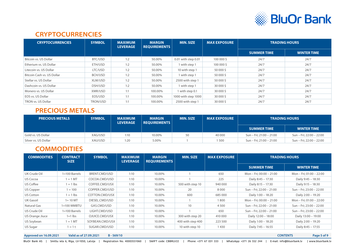

#### **CRYPTOCURRENCIES**

<span id="page-4-0"></span>

| <b>CRYPTOCURRENCIES</b>    | <b>SYMBOL</b> | <b>MAXIMUM</b><br><b>LEVERAGE</b> | <b>MARGIN</b><br><b>REQUIREMENTS</b> | <b>MIN. SIZE</b>    | <b>MAX EXPOSURE</b> | <b>TRADING HOURS</b> |                    |
|----------------------------|---------------|-----------------------------------|--------------------------------------|---------------------|---------------------|----------------------|--------------------|
|                            |               |                                   |                                      |                     |                     | <b>SUMMER TIME</b>   | <b>WINTER TIME</b> |
| Bitcoin vs. US Dollar      | BTC/USD       | 1:2                               | 50.00%                               | 0.01 with step 0.01 | 100 000 \$          | 24/7                 | 24/7               |
| Etherium vs. US Dollar     | ETH/USD       | 1:2                               | 50.00%                               | 1 with step 1       | 100 000 \$          | 24/7                 | 24/7               |
| Litecoin vs. US Dollar     | LTC/USD       | 1:2                               | 50.00%                               | 10 with step 1      | 50 000 \$           | 24/7                 | 24/7               |
| Bitcoin Cash vs. US Dollar | BCH/USD       | 1:2                               | 50.00%                               | 1 with step 1       | 50 000 \$           | 24/7                 | 24/7               |
| Stellar vs. US Dollar      | XLM/USD       | 1:2                               | 50.00%                               | 2500 with step 1    | 50 000 \$           | 24/7                 | 24/7               |
| Dashcoin vs. US Dollar     | DSH/USD       | 1:2                               | 50.00%                               | 1 with step 1       | 30 000 \$           | 24/7                 | 24/7               |
| Monero vs. US Dollar       | XMR/USD       | 1:1                               | 100.00%                              | 1 with step 0.1     | 30 000 \$           | 24/7                 | 24/7               |
| EOS vs. US Dollar          | EOS/USD       | 1:1                               | 100.00%                              | 1000 with step 1000 | 30 000 \$           | 24/7                 | 24/7               |
| TRON vs. US Dollar         | TRON/USD      | 1:1                               | 100.00%                              | 2500 with step 1    | 30 000 \$           | 24/7                 | 24/7               |

#### **PRECIOUS METALS**

| <b>PRECIOUS METALS</b> | <b>SYMBOL</b> | <b>MAXIMUM</b><br><b>LEVERAGE</b> | <b>MARGIN</b><br><b>REQUIREMENTS</b> | <b>MIN. SIZE</b> | <b>MAX EXPOSURE</b> | <b>TRADING HOURS</b>     |                          |
|------------------------|---------------|-----------------------------------|--------------------------------------|------------------|---------------------|--------------------------|--------------------------|
|                        |               |                                   |                                      |                  |                     | <b>SUMMER TIME</b>       | <b>WINTER TIME</b>       |
| Gold vs. US Dollar     | XAG/USD       | 1:10                              | 10.00%                               | 50               | 40 000              | Sun – Fri; 21:00 – 21:00 | Sun – Fri; 22:00 – 22:00 |
| Silver vs. US Dollar   | XAU/USD       | 1:20                              | 5.00%                                |                  | 500                 | Sun – Fri; 21:00 – 21:00 | Sun – Fri; 22:00 – 22:00 |

#### **COMMODITIES**

| <b>COMMODITIES</b> | <b>CONTRACT</b><br><b>SIZE</b> | <b>SYMBOL</b>   | <b>MAXIMUM</b><br><b>LEVERAGE</b> | <b>MARGIN</b><br><b>REQUIREMENTS</b> | <b>MIN. SIZE</b>  | <b>MAX EXPOSURE</b> | <b>TRADING HOURS</b>     |                          |
|--------------------|--------------------------------|-----------------|-----------------------------------|--------------------------------------|-------------------|---------------------|--------------------------|--------------------------|
|                    |                                |                 |                                   |                                      |                   |                     | <b>SUMMER TIME</b>       | <b>WINTER TIME</b>       |
| UK Crude Oil       | 1=100 Barrels                  | BRENT.CMD/USD   | 1:10                              | 10.00%                               |                   | 650                 | Mon - Fri; 00:00 - 21:00 | Mon - Fri; 01:00 - 22:00 |
| US Cocoa           | $1 = 1$ MT                     | COCOA.CMD/USD   | 1:10                              | 10.00%                               |                   | 225                 | Daily 8:45 - 17:30       | Daily 9:45 - 18:30       |
| US Coffee          | $1 = 1$ lbs                    | COFFEE.CMD/USX  | 1:10                              | 10.00%                               | 500 with step 10  | 940 000             | Daily 8:15 - 17:30       | Daily 9:15 - 18:30       |
| US Copper          | $1 = 100$                      | COPPER.CMD/USD  | 1:10                              | 10.00%                               | 20                | 8000                | Sun - Fri; 22:00 - 21:00 | Sun - Fri; 23:00 - 22:00 |
| US Cotton          | $1 = 1$ lbs                    | COTTON.CMD/USX  | 1:10                              | 10.00%                               | 600               | 685 000             | Daily 1:00 - 18:20       | Daily 2:00 - 19:20       |
| UK Gasoil          | $1 = 10$ MT                    | DIESEL.CMD/USD  | 1:10                              | 10.00%                               |                   | 1800                | Mon - Fri; 00:00 - 21:00 | Mon - Fri; 01:00 - 22:00 |
| Natural Gas        | 1=100 MMBTU                    | GAS.CMD/USD     | 1:10                              | 10.00%                               | 10                | 4 5 0 0             | Sun - Fri; 22:00 - 21:00 | Sun - Fri; 23:00 - 22:00 |
| US Crude Oil       | $1=100$ Barrels                | LIGHT.CMD/USD   | 1:10                              | 10.00%                               |                   | 650                 | Sun - Fri; 22:00 - 21:00 | Sun - Fri; 23:00 - 22:00 |
| US Orange Jiuce    | $1=1$ lbs                      | OJUICE.CMD/USX  | 1:10                              | 10.00%                               | 300 with step 20  | 410 000             | Daily 12:00 - 18:00      | Daily 13:00 - 19:00      |
| US Soybean         | $= 1$ MT                       | SOYBEAN.CMD/USX | 1:10                              | 10.00%                               | 400 with step 400 | 223 500             | Daily 1:00 - 18:20       | Daily 2:00 - 19:20       |
| US Sugar           | $1 = 1 t$                      | SUGAR.CMD/USD   | 1:10                              | 10.00%                               | 10 with step 10   | 1430                | Daily 7:45 - 16:55       | Daily 8:45 - 17:55       |

**Approved on 16.09.2021 Valid as of 27.09.2021 B - 569/10 [CONTENTS](#page-1-0) Page 5 of 9**

BluOr Bank AS | Smilšu iela 6, Rīga, LV-1050, Latvija | Registration No. 40003551060 | SWIFT code: CBBRLV22 | Phone: +371 67 031 333 | WhatsApp: +371 26 552 244 | E-mail: info@bluorbank.lv | www.bluorbank.lv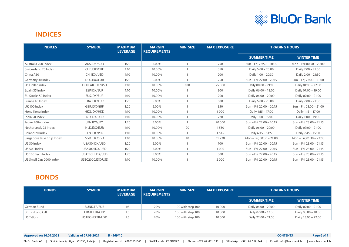

#### <span id="page-5-0"></span>**INDICES**

| <b>INDICES</b>            | <b>SYMBOL</b>    | <b>MAXIMUM</b><br><b>LEVERAGE</b> | <b>MARGIN</b><br><b>REQUIREMENTS</b> | <b>MIN. SIZE</b> | <b>MAX EXPOSURE</b> | <b>TRADING HOURS</b>     |                          |
|---------------------------|------------------|-----------------------------------|--------------------------------------|------------------|---------------------|--------------------------|--------------------------|
|                           |                  |                                   |                                      |                  |                     | <b>SUMMER TIME</b>       | <b>WINTER TIME</b>       |
| Australia 200 Index       | AUS.IDX/AUD      | 1:20                              | 5.00%                                |                  | 750                 | Sun - Fri; 23:50 - 20:00 | Mon - Fri; 00:50 - 20:00 |
| Switzerland 20 Index      | CHE.IDX/CHF      | 1:10                              | 10.00%                               |                  | 350                 | Daily 6:00 - 20:00       | Daily 7:00 - 21:00       |
| China A50                 | CHI.IDX/USD      | 1:10                              | 10.00%                               |                  | 200                 | Daily 1:00 - 20:30       | Daily 2:00 - 21:30       |
| Germany 30 Index          | DEU.IDX/EUR      | 1:20                              | 5.00%                                |                  | 250                 | Sun - Fri; 22:00 - 20:15 | Sun - Fri; 23:00 - 21:00 |
| US Dollar Index           | DOLLAR.IDX/USD   | 1:10                              | 10.00%                               | 100              | 25 000              | Daily 00:00 - 21:00      | Daily 01:00 - 22:00      |
| Spain 35 Index            | ESP.IDX/EUR      | 1:10                              | 10.00%                               |                  | 300                 | Daily 06:00 - 18:00      | Daily 07:00 - 19:00      |
| EU Stocks 50 Index        | EUS.IDX/EUR      | 1:10                              | 10.00%                               |                  | 900                 | Daily 06:00 - 20:00      | Daily 07:00 - 21:00      |
| France 40 Index           | FRA.IDX/EUR      | 1:20                              | 5.00%                                |                  | 500                 | Daily 6:00 - 20:00       | Daily 7:00 - 21:00       |
| UK 100 Index              | GBR.IDX/GBP      | 1:20                              | 5.00%                                |                  | 350                 | Sun - Fri; 22:00 - 20:15 | Sun - Fri; 23:00 - 21:00 |
| Hong Kong Index           | HKG.IDX/HKD      | 1:10                              | 10.00%                               |                  | 1 0 0 0             | Daily 1:15 - 17:00       | Daily 1:15 - 17:00       |
| India 50 Index            | IND.IDX/USD      | 1:10                              | 10.00%                               |                  | 270                 | Daily 1:00 - 19:00       | Daily 1:00 - 19:00       |
| Japan 200+ Index          | JPN.IDX/JPY      | 1:20                              | 5.00%                                |                  | 20 000              | Sun - Fri; 22:00 - 20:15 | Sun - Fri; 23:00 - 21:15 |
| Netherlands 25 Index      | NLD.IDX/EUR      | 1:10                              | 10.00%                               | 20               | 4 5 5 0             | Daily 06:00 - 20:00      | Daily 07:00 - 21:00      |
| Poland 20 Index           | PLN.IDX/PLN      | 1:10                              | 10.00%                               |                  | 1545                | Daily 6:45 - 14:50       | Daily 7:45 - 15:50       |
| Singapore Blue Chip Index | SGD.IDX/SGD      | 1:10                              | 10.00%                               | 10               | 11 2 20             | Mon - Fri; 00:30 - 21:00 | Mon - Fri; 01:30 - 22:00 |
| US 30 Index               | USA30.IDX/USD    | 1:20                              | 5.00%                                |                  | 100                 | Sun - Fri; 22:00 - 20:15 | Sun - Fri; 23:00 - 21:15 |
| US 500 Index              | USA500.IDX/USD   | 1:20                              | 5.00%                                |                  | 1 0 0 0             | Sun - Fri; 22:00 - 20:15 | Sun - Fri; 23:00 - 21:15 |
| US 100 Tech Index         | USATECH.IDX/USD  | 1:20                              | 5.00%                                |                  | 300                 | Sun - Fri; 22:00 - 20:15 | Sun - Fri; 23:00 - 21:15 |
| US Small Cap 2000 Index   | USSC2000.IDX/USD | 1:10                              | 10.00%                               |                  | 2000                | Sun - Fri; 22:00 - 20:15 | Sun - Fri; 23:00 - 21:15 |

#### **BONDS**

| <b>BONDS</b>      | <b>SYMBOL</b>  | <b>MAXIMUM</b><br><b>LEVERAGE</b> | <b>MARGIN</b><br><b>REQUIREMENTS</b> | <b>MIN. SIZE</b>  | <b>MAX EXPOSURE</b> | <b>TRADING HOURS</b> |                     |
|-------------------|----------------|-----------------------------------|--------------------------------------|-------------------|---------------------|----------------------|---------------------|
|                   |                |                                   |                                      |                   |                     | <b>SUMMER TIME</b>   | <b>WINTER TIME</b>  |
| German Bund       | BUND.TR/EUR    | 1:5                               | 20%                                  | 100 with step 100 | 10 000              | Daily 06:00 - 20:00  | Daily 07:00 - 21:00 |
| British Long Gilt | UKGILT.TR/GBP  | 1:5                               | 20%                                  | 100 with step 100 | 10 000              | Daily 07:00 - 17:00  | Daily 08:00 - 18:00 |
| US T-Bond         | USTBOND.TR/USD | 1:5                               | 20%                                  | 100 with step 100 | 10 000              | Daily 22:00 - 21:00  | Daily 23:00 - 22:00 |

**Approved on 16.09.2021 Valid as of 27.09.2021 B - 569/10 [CONTENTS](#page-1-0) Page 6 of 9**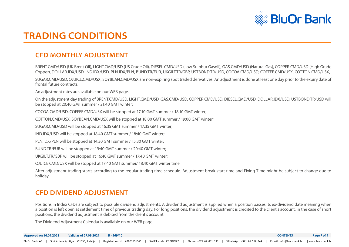![](_page_6_Picture_0.jpeg)

# <span id="page-6-0"></span>**TRADING CONDITIONS**

## **CFD MONTHLY ADJUSTMENT**

BRENT.CMD/USD (UK Brent Oil), LIGHT.CMD/USD (US Crude Oil), DIESEL.CMD/USD (Low Sulphur Gasoil), GAS.CMD/USD (Natural Gas), COPPER.CMD/USD (High Grade Copper), DOLLAR.IDX/USD, IND.IDX/USD, PLN.IDX/PLN, BUND.TR/EUR, UKGILT.TR/GBP, USTBOND.TR/USD, COCOA.CMD/USD, COFFEE.CMD/USX, COTTON.CMD/USX,

SUGAR.CMD/USD, OJUICE.CMD/USX, SOYBEAN.CMD/USX are non-expiring spot traded derivatives. An adjustment is done at least one day prior to the expiry date of frontal future contracts.

An adjustment rates are available on our WEB page.

On the adjustment day trading of BRENT.CMD/USD, LIGHT.CMD/USD, GAS.CMD/USD, COPPER.CMD/USD, DIESEL.CMD/USD, DOLLAR.IDX/USD, USTBOND.TR/USD will be stopped at 20:40 GMT summer / 21:40 GMT winter;

COCOA.CMD/USD, COFFEE.CMD/USX will be stopped at 17:10 GMT summer / 18:10 GMT winter;

COTTON.CMD/USX, SOYBEAN.CMD/USX will be stopped at 18:00 GMT summer / 19:00 GMT winter;

SUGAR.CMD/USD will be stopped at 16:35 GMT summer / 17:35 GMT winter;

IND.IDX/USD will be stopped at 18:40 GMT summer / 18:40 GMT winter;

PLN.IDX/PLN will be stopped at 14:30 GMT summer / 15:30 GMT winter;

BUND.TR/EUR will be stopped at 19:40 GMT summer / 20:40 GMT winter;

UKGILT.TR/GBP will be stopped at 16:40 GMT summer / 17:40 GMT winter;

OJUICE.CMD/USX will be stopped at 17:40 GMT summer/ 18:40 GMT winter time.

After adjustment trading starts according to the regular trading time schedule. Adjustment break start time and Fixing Time might be subject to change due to holiday.

#### **CFD DIVIDEND ADJUSTMENT**

Positions in Index CFDs are subject to possible dividend adjustments. A dividend adjustment is applied when a position passes its ex-dividend date meaning when a position is left open at settlement time of previous trading day. For long positions, the dividend adjustment is credited to the client's account, in the case of short positions, the dividend adjustment is debited from the client's account.

The Dividend Adjustment Calendar is available on our WEB page.

| Approved on 16.09.2021 | Valid as of 27.09.2021                                | $B - 569/10$                 |                                               |                                                                        | <b>CONTENTS</b> | Page 7 of 9 |
|------------------------|-------------------------------------------------------|------------------------------|-----------------------------------------------|------------------------------------------------------------------------|-----------------|-------------|
|                        | BluOr Bank AS   Smilšu iela 6, Rīga, LV-1050, Latvija | Registration No. 40003551060 | SWIFT code: CBBRLV22   Phone: +371 67 031 333 | WhatsApp: +371 26 552 244   E-mail: info@bluorbank.lv   www.bluorbank. |                 |             |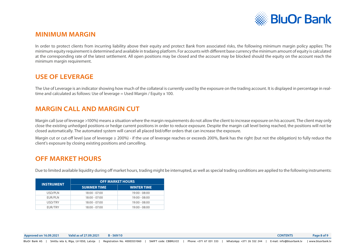![](_page_7_Picture_0.jpeg)

#### <span id="page-7-0"></span>**MINIMUM MARGIN**

In order to protect clients from incurring liability above their equity and protect Bank from associated risks, the following minimum margin policy applies: The minimum equity requirement is determined and available in tradaing platform. For accounts with different base currency the minimum amount of equity is calculated at the corresponding rate of the latest settlement. All open positions may be closed and the account may be blocked should the equity on the account reach the minimum margin requirement.

#### **USE OF LEVERAGE**

The Use of Leverage is an indicator showing how much of the collateral is currently used by the exposure on the trading account. It is displayed in percentage in realtime and calculated as follows: Use of leverage = Used Margin / Equity x 100.

#### **MARGIN CALL AND MARGIN CUT**

Margin call (use of leverage >100%) means a situation where the margin requirements do not allow the client to increase exposure on his account. The client may only close the existing unhedged positions or hedge current positions in order to reduce exposure. Despite the margin call level being reached, the positions will not be closed automatically. The automated system will cancel all placed bid/offer orders that can increase the exposure.

Margin cut or cut-off level (use of leverage  $\geq 200\%$ ) - if the use of leverage reaches or exceeds 200%, Bank has the right (but not the obligation) to fully reduce the client's exposure by closing existing positions and cancelling.

#### **OFF MARKET HOURS**

Due to limited available liquidity during off market hours, trading might be interrupted, as well as special trading conditions are applied to the following instruments:

| <b>INSTRUMENT</b> | <b>OFF MARKET HOURS</b> |                    |  |  |  |  |
|-------------------|-------------------------|--------------------|--|--|--|--|
|                   | <b>SUMMER TIME</b>      | <b>WINTER TIME</b> |  |  |  |  |
| USD/PLN           | $18:00 - 07:00$         | $19:00 - 08:00$    |  |  |  |  |
| EUR/PLN           | $18:00 - 07:00$         | $19:00 - 08:00$    |  |  |  |  |
| USD/TRY           | $18:00 - 07:00$         | $19:00 - 08:00$    |  |  |  |  |
| EUR/TRY           | $18:00 - 07:00$         | $19:00 - 08:00$    |  |  |  |  |